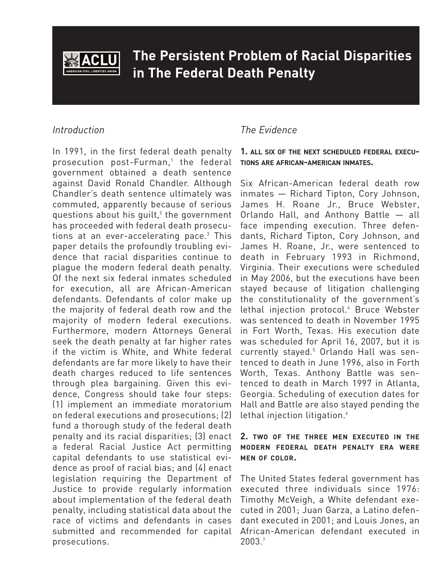

# **The Persistent Problem of Racial Disparities in The Federal Death Penalty**

# *Introduction*

In 1991, in the first federal death penalty prosecution post-Furman, $<sup>1</sup>$  the federal</sup> government obtained a death sentence against David Ronald Chandler. Although Chandler's death sentence ultimately was commuted, apparently because of serious questions about his guilt, $2$  the government has proceeded with federal death prosecutions at an ever-accelerating pace. $3$  This paper details the profoundly troubling evidence that racial disparities continue to plague the modern federal death penalty. Of the next six federal inmates scheduled for execution, all are African-American defendants. Defendants of color make up the majority of federal death row and the majority of modern federal executions. Furthermore, modern Attorneys General seek the death penalty at far higher rates if the victim is White, and White federal defendants are far more likely to have their death charges reduced to life sentences through plea bargaining. Given this evidence, Congress should take four steps: (1) implement an immediate moratorium on federal executions and prosecutions; (2) fund a thorough study of the federal death penalty and its racial disparities; (3) enact a federal Racial Justice Act permitting capital defendants to use statistical evidence as proof of racial bias; and (4) enact legislation requiring the Department of Justice to provide regularly information about implementation of the federal death penalty, including statistical data about the race of victims and defendants in cases submitted and recommended for capital prosecutions.

# *The Evidence*

#### **1. ALL SIX OF THE NEXT SCHEDULED FEDERAL EXECU-TIONS ARE AFRICAN-AMERICAN INMATES.**

Six African-American federal death row inmates — Richard Tipton, Cory Johnson, James H. Roane Jr., Bruce Webster, Orlando Hall, and Anthony Battle — all face impending execution. Three defendants, Richard Tipton, Cory Johnson, and James H. Roane, Jr., were sentenced to death in February 1993 in Richmond, Virginia. Their executions were scheduled in May 2006, but the executions have been stayed because of litigation challenging the constitutionality of the government's lethal injection protocol.<sup>4</sup> Bruce Webster was sentenced to death in November 1995 in Fort Worth, Texas. His execution date was scheduled for April 16, 2007, but it is currently stayed.5 Orlando Hall was sentenced to death in June 1996, also in Forth Worth, Texas. Anthony Battle was sentenced to death in March 1997 in Atlanta, Georgia. Scheduling of execution dates for Hall and Battle are also stayed pending the lethal injection litigation.<sup>6</sup>

#### **2. TWO OF THE THREE MEN EXECUTED IN THE MODERN FEDERAL DEATH PENALTY ERA WERE MEN OF COLOR.**

The United States federal government has executed three individuals since 1976: Timothy McVeigh, a White defendant executed in 2001; Juan Garza, a Latino defendant executed in 2001; and Louis Jones, an African-American defendant executed in 2003.7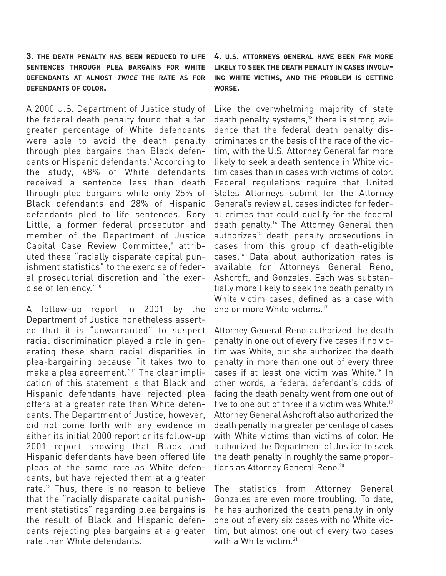**3. THE DEATH PENALTY HAS BEEN REDUCED TO LIFE SENTENCES THROUGH PLEA BARGAINS FOR WHITE DEFENDANTS AT ALMOST TWICE THE RATE AS FOR DEFENDANTS OF COLOR.**

A 2000 U.S. Department of Justice study of the federal death penalty found that a far greater percentage of White defendants were able to avoid the death penalty through plea bargains than Black defendants or Hispanic defendants.<sup>8</sup> According to the study, 48% of White defendants received a sentence less than death through plea bargains while only 25% of Black defendants and 28% of Hispanic defendants pled to life sentences. Rory Little, a former federal prosecutor and member of the Department of Justice Capital Case Review Committee,<sup>9</sup> attributed these "racially disparate capital punishment statistics" to the exercise of federal prosecutorial discretion and "the exercise of leniency."10

A follow-up report in 2001 by the Department of Justice nonetheless asserted that it is "unwarranted" to suspect racial discrimination played a role in generating these sharp racial disparities in plea-bargaining because "it takes two to make a plea agreement."<sup>11</sup> The clear implication of this statement is that Black and Hispanic defendants have rejected plea offers at a greater rate than White defendants. The Department of Justice, however, did not come forth with any evidence in either its initial 2000 report or its follow-up 2001 report showing that Black and Hispanic defendants have been offered life pleas at the same rate as White defendants, but have rejected them at a greater rate.<sup>12</sup> Thus, there is no reason to believe that the "racially disparate capital punishment statistics" regarding plea bargains is the result of Black and Hispanic defendants rejecting plea bargains at a greater rate than White defendants.

**4. U.S. ATTORNEYS GENERAL HAVE BEEN FAR MORE LIKELY TO SEEK THE DEATH PENALTY IN CASES INVOLV-ING WHITE VICTIMS, AND THE PROBLEM IS GETTING WORSE.**

Like the overwhelming majority of state death penalty systems, $13$  there is strong evidence that the federal death penalty discriminates on the basis of the race of the victim, with the U.S. Attorney General far more likely to seek a death sentence in White victim cases than in cases with victims of color. Federal regulations require that United States Attorneys submit for the Attorney General's review all cases indicted for federal crimes that could qualify for the federal death penalty.<sup>14</sup> The Attorney General then  $authorizes<sup>15</sup>$  death penalty prosecutions in cases from this group of death-eligible cases.16 Data about authorization rates is available for Attorneys General Reno, Ashcroft, and Gonzales. Each was substantially more likely to seek the death penalty in White victim cases, defined as a case with one or more White victims.17

Attorney General Reno authorized the death penalty in one out of every five cases if no victim was White, but she authorized the death penalty in more than one out of every three cases if at least one victim was White.18 In other words, a federal defendant's odds of facing the death penalty went from one out of five to one out of three if a victim was White.<sup>19</sup> Attorney General Ashcroft also authorized the death penalty in a greater percentage of cases with White victims than victims of color. He authorized the Department of Justice to seek the death penalty in roughly the same proportions as Attorney General Reno.<sup>20</sup>

The statistics from Attorney General Gonzales are even more troubling. To date, he has authorized the death penalty in only one out of every six cases with no White victim, but almost one out of every two cases with a White victim.<sup>21</sup>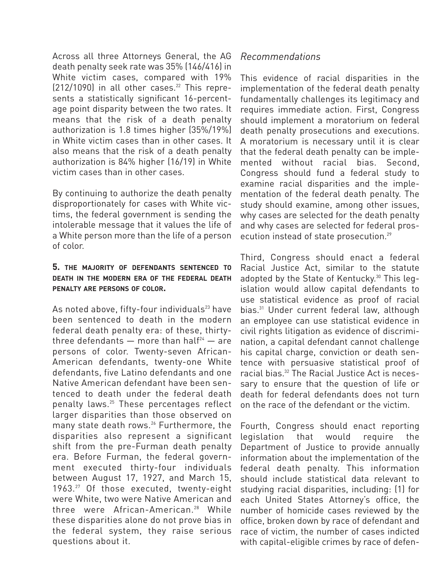Across all three Attorneys General, the AG death penalty seek rate was 35% (146/416) in White victim cases, compared with 19%  $(212/1090)$  in all other cases.<sup>22</sup> This represents a statistically significant 16-percentage point disparity between the two rates. It means that the risk of a death penalty authorization is 1.8 times higher (35%/19%) in White victim cases than in other cases. It also means that the risk of a death penalty authorization is 84% higher (16/19) in White victim cases than in other cases.

By continuing to authorize the death penalty disproportionately for cases with White victims, the federal government is sending the intolerable message that it values the life of a White person more than the life of a person of color.

#### **5. THE MAJORITY OF DEFENDANTS SENTENCED TO DEATH IN THE MODERN ERA OF THE FEDERAL DEATH PENALTY ARE PERSONS OF COLOR.**

As noted above, fifty-four individuals<sup>23</sup> have been sentenced to death in the modern federal death penalty era: of these, thirtythree defendants  $-$  more than half<sup>24</sup>  $-$  are persons of color. Twenty-seven African-American defendants, twenty-one White defendants, five Latino defendants and one Native American defendant have been sentenced to death under the federal death penalty laws.25 These percentages reflect larger disparities than those observed on many state death rows.<sup>26</sup> Furthermore, the disparities also represent a significant shift from the pre-Furman death penalty era. Before Furman, the federal government executed thirty-four individuals between August 17, 1927, and March 15, 1963.27 Of those executed, twenty-eight were White, two were Native American and three were African-American.28 While these disparities alone do not prove bias in the federal system, they raise serious questions about it.

## *Recommendations*

This evidence of racial disparities in the implementation of the federal death penalty fundamentally challenges its legitimacy and requires immediate action. First, Congress should implement a moratorium on federal death penalty prosecutions and executions. A moratorium is necessary until it is clear that the federal death penalty can be implemented without racial bias. Second, Congress should fund a federal study to examine racial disparities and the implementation of the federal death penalty. The study should examine, among other issues, why cases are selected for the death penalty and why cases are selected for federal prosecution instead of state prosecution.<sup>29</sup>

Third, Congress should enact a federal Racial Justice Act, similar to the statute adopted by the State of Kentucky.<sup>30</sup> This legislation would allow capital defendants to use statistical evidence as proof of racial bias.<sup>31</sup> Under current federal law, although an employee can use statistical evidence in civil rights litigation as evidence of discrimination, a capital defendant cannot challenge his capital charge, conviction or death sentence with persuasive statistical proof of racial bias.32 The Racial Justice Act is necessary to ensure that the question of life or death for federal defendants does not turn on the race of the defendant or the victim.

Fourth, Congress should enact reporting legislation that would require the Department of Justice to provide annually information about the implementation of the federal death penalty. This information should include statistical data relevant to studying racial disparities, including: (1) for each United States Attorney's office, the number of homicide cases reviewed by the office, broken down by race of defendant and race of victim, the number of cases indicted with capital-eligible crimes by race of defen-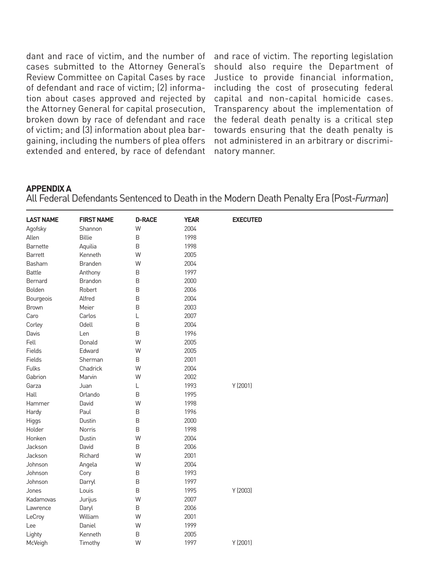dant and race of victim, and the number of cases submitted to the Attorney General's Review Committee on Capital Cases by race of defendant and race of victim; (2) information about cases approved and rejected by the Attorney General for capital prosecution, broken down by race of defendant and race of victim; and (3) information about plea bargaining, including the numbers of plea offers extended and entered, by race of defendant

and race of victim. The reporting legislation should also require the Department of Justice to provide financial information, including the cost of prosecuting federal capital and non-capital homicide cases. Transparency about the implementation of the federal death penalty is a critical step towards ensuring that the death penalty is not administered in an arbitrary or discriminatory manner.

#### **APPENDIX A** All Federal Defendants Sentenced to Death in the Modern Death Penalty Era (Post-*Furman*)

| Agofsky<br>Shannon<br>W<br>2004<br><b>Billie</b><br>$\mathsf B$<br>1998<br>Allen<br>B<br>1998<br>Barnette<br>Aquilia<br>W<br>2005<br><b>Barrett</b><br>Kenneth<br>W<br>2004<br>Basham<br><b>Branden</b><br>1997<br><b>Battle</b><br>Anthony<br>B<br>$\overline{B}$<br>2000<br>Bernard<br><b>Brandon</b><br>$\sf B$<br>Bolden<br>2006<br>Robert<br>B<br>2004<br>Alfred<br>Bourgeois<br>B<br>Meier<br>2003<br><b>Brown</b><br>2007<br>Carlos<br>L<br>Caro<br>Odell<br>B<br>2004<br>Corley<br>B<br>Davis<br>1996<br>Len<br>Fell<br>W<br>2005<br>Donald<br>Fields<br>Edward<br>W<br>2005<br>$\mathsf B$<br>2001<br>Fields<br>Sherman<br>Fulks<br>W<br>2004<br>Chadrick<br>Gabrion<br>Marvin<br>W<br>2002<br>1993<br>Y (2001)<br>L<br>Garza<br>Juan<br>Hall<br>B<br>1995<br>Orlando<br>W<br>David<br>1998<br>Hammer<br>B<br>1996<br>Paul<br>Hardy<br>B<br>2000<br>Dustin<br>Higgs<br>B<br>Holder<br>Norris<br>1998<br>W<br>2004<br>Honken<br>Dustin<br>David<br>$\mathsf B$<br>2006<br>Jackson<br>W<br>Jackson<br>Richard<br>2001<br>W<br>2004<br>Johnson<br>Angela<br>$\mathsf B$<br>1993<br>Johnson<br>Cory<br>B<br>Johnson<br>1997<br>Darryl<br>B<br>1995<br>Y (2003)<br>Jones<br>Louis<br>2007<br>Jurijus<br>W<br>Kadamovas<br>Daryl<br>$\mathsf B$<br>2006<br>Lawrence<br>W<br>2001<br>LeCroy<br>William<br>W<br>1999<br>Daniel<br>Lee<br>Kenneth<br>$\mathsf B$<br>2005<br>Lighty | <b>LAST NAME</b> | <b>FIRST NAME</b> | <b>D-RACE</b> | <b>YEAR</b> | <b>EXECUTED</b> |
|------------------------------------------------------------------------------------------------------------------------------------------------------------------------------------------------------------------------------------------------------------------------------------------------------------------------------------------------------------------------------------------------------------------------------------------------------------------------------------------------------------------------------------------------------------------------------------------------------------------------------------------------------------------------------------------------------------------------------------------------------------------------------------------------------------------------------------------------------------------------------------------------------------------------------------------------------------------------------------------------------------------------------------------------------------------------------------------------------------------------------------------------------------------------------------------------------------------------------------------------------------------------------------------------------------------------------------------------------------------------------------|------------------|-------------------|---------------|-------------|-----------------|
|                                                                                                                                                                                                                                                                                                                                                                                                                                                                                                                                                                                                                                                                                                                                                                                                                                                                                                                                                                                                                                                                                                                                                                                                                                                                                                                                                                                    |                  |                   |               |             |                 |
|                                                                                                                                                                                                                                                                                                                                                                                                                                                                                                                                                                                                                                                                                                                                                                                                                                                                                                                                                                                                                                                                                                                                                                                                                                                                                                                                                                                    |                  |                   |               |             |                 |
|                                                                                                                                                                                                                                                                                                                                                                                                                                                                                                                                                                                                                                                                                                                                                                                                                                                                                                                                                                                                                                                                                                                                                                                                                                                                                                                                                                                    |                  |                   |               |             |                 |
|                                                                                                                                                                                                                                                                                                                                                                                                                                                                                                                                                                                                                                                                                                                                                                                                                                                                                                                                                                                                                                                                                                                                                                                                                                                                                                                                                                                    |                  |                   |               |             |                 |
|                                                                                                                                                                                                                                                                                                                                                                                                                                                                                                                                                                                                                                                                                                                                                                                                                                                                                                                                                                                                                                                                                                                                                                                                                                                                                                                                                                                    |                  |                   |               |             |                 |
|                                                                                                                                                                                                                                                                                                                                                                                                                                                                                                                                                                                                                                                                                                                                                                                                                                                                                                                                                                                                                                                                                                                                                                                                                                                                                                                                                                                    |                  |                   |               |             |                 |
|                                                                                                                                                                                                                                                                                                                                                                                                                                                                                                                                                                                                                                                                                                                                                                                                                                                                                                                                                                                                                                                                                                                                                                                                                                                                                                                                                                                    |                  |                   |               |             |                 |
|                                                                                                                                                                                                                                                                                                                                                                                                                                                                                                                                                                                                                                                                                                                                                                                                                                                                                                                                                                                                                                                                                                                                                                                                                                                                                                                                                                                    |                  |                   |               |             |                 |
|                                                                                                                                                                                                                                                                                                                                                                                                                                                                                                                                                                                                                                                                                                                                                                                                                                                                                                                                                                                                                                                                                                                                                                                                                                                                                                                                                                                    |                  |                   |               |             |                 |
|                                                                                                                                                                                                                                                                                                                                                                                                                                                                                                                                                                                                                                                                                                                                                                                                                                                                                                                                                                                                                                                                                                                                                                                                                                                                                                                                                                                    |                  |                   |               |             |                 |
|                                                                                                                                                                                                                                                                                                                                                                                                                                                                                                                                                                                                                                                                                                                                                                                                                                                                                                                                                                                                                                                                                                                                                                                                                                                                                                                                                                                    |                  |                   |               |             |                 |
|                                                                                                                                                                                                                                                                                                                                                                                                                                                                                                                                                                                                                                                                                                                                                                                                                                                                                                                                                                                                                                                                                                                                                                                                                                                                                                                                                                                    |                  |                   |               |             |                 |
|                                                                                                                                                                                                                                                                                                                                                                                                                                                                                                                                                                                                                                                                                                                                                                                                                                                                                                                                                                                                                                                                                                                                                                                                                                                                                                                                                                                    |                  |                   |               |             |                 |
|                                                                                                                                                                                                                                                                                                                                                                                                                                                                                                                                                                                                                                                                                                                                                                                                                                                                                                                                                                                                                                                                                                                                                                                                                                                                                                                                                                                    |                  |                   |               |             |                 |
|                                                                                                                                                                                                                                                                                                                                                                                                                                                                                                                                                                                                                                                                                                                                                                                                                                                                                                                                                                                                                                                                                                                                                                                                                                                                                                                                                                                    |                  |                   |               |             |                 |
|                                                                                                                                                                                                                                                                                                                                                                                                                                                                                                                                                                                                                                                                                                                                                                                                                                                                                                                                                                                                                                                                                                                                                                                                                                                                                                                                                                                    |                  |                   |               |             |                 |
|                                                                                                                                                                                                                                                                                                                                                                                                                                                                                                                                                                                                                                                                                                                                                                                                                                                                                                                                                                                                                                                                                                                                                                                                                                                                                                                                                                                    |                  |                   |               |             |                 |
|                                                                                                                                                                                                                                                                                                                                                                                                                                                                                                                                                                                                                                                                                                                                                                                                                                                                                                                                                                                                                                                                                                                                                                                                                                                                                                                                                                                    |                  |                   |               |             |                 |
|                                                                                                                                                                                                                                                                                                                                                                                                                                                                                                                                                                                                                                                                                                                                                                                                                                                                                                                                                                                                                                                                                                                                                                                                                                                                                                                                                                                    |                  |                   |               |             |                 |
|                                                                                                                                                                                                                                                                                                                                                                                                                                                                                                                                                                                                                                                                                                                                                                                                                                                                                                                                                                                                                                                                                                                                                                                                                                                                                                                                                                                    |                  |                   |               |             |                 |
|                                                                                                                                                                                                                                                                                                                                                                                                                                                                                                                                                                                                                                                                                                                                                                                                                                                                                                                                                                                                                                                                                                                                                                                                                                                                                                                                                                                    |                  |                   |               |             |                 |
|                                                                                                                                                                                                                                                                                                                                                                                                                                                                                                                                                                                                                                                                                                                                                                                                                                                                                                                                                                                                                                                                                                                                                                                                                                                                                                                                                                                    |                  |                   |               |             |                 |
|                                                                                                                                                                                                                                                                                                                                                                                                                                                                                                                                                                                                                                                                                                                                                                                                                                                                                                                                                                                                                                                                                                                                                                                                                                                                                                                                                                                    |                  |                   |               |             |                 |
|                                                                                                                                                                                                                                                                                                                                                                                                                                                                                                                                                                                                                                                                                                                                                                                                                                                                                                                                                                                                                                                                                                                                                                                                                                                                                                                                                                                    |                  |                   |               |             |                 |
|                                                                                                                                                                                                                                                                                                                                                                                                                                                                                                                                                                                                                                                                                                                                                                                                                                                                                                                                                                                                                                                                                                                                                                                                                                                                                                                                                                                    |                  |                   |               |             |                 |
|                                                                                                                                                                                                                                                                                                                                                                                                                                                                                                                                                                                                                                                                                                                                                                                                                                                                                                                                                                                                                                                                                                                                                                                                                                                                                                                                                                                    |                  |                   |               |             |                 |
|                                                                                                                                                                                                                                                                                                                                                                                                                                                                                                                                                                                                                                                                                                                                                                                                                                                                                                                                                                                                                                                                                                                                                                                                                                                                                                                                                                                    |                  |                   |               |             |                 |
|                                                                                                                                                                                                                                                                                                                                                                                                                                                                                                                                                                                                                                                                                                                                                                                                                                                                                                                                                                                                                                                                                                                                                                                                                                                                                                                                                                                    |                  |                   |               |             |                 |
|                                                                                                                                                                                                                                                                                                                                                                                                                                                                                                                                                                                                                                                                                                                                                                                                                                                                                                                                                                                                                                                                                                                                                                                                                                                                                                                                                                                    |                  |                   |               |             |                 |
|                                                                                                                                                                                                                                                                                                                                                                                                                                                                                                                                                                                                                                                                                                                                                                                                                                                                                                                                                                                                                                                                                                                                                                                                                                                                                                                                                                                    |                  |                   |               |             |                 |
|                                                                                                                                                                                                                                                                                                                                                                                                                                                                                                                                                                                                                                                                                                                                                                                                                                                                                                                                                                                                                                                                                                                                                                                                                                                                                                                                                                                    |                  |                   |               |             |                 |
|                                                                                                                                                                                                                                                                                                                                                                                                                                                                                                                                                                                                                                                                                                                                                                                                                                                                                                                                                                                                                                                                                                                                                                                                                                                                                                                                                                                    |                  |                   |               |             |                 |
|                                                                                                                                                                                                                                                                                                                                                                                                                                                                                                                                                                                                                                                                                                                                                                                                                                                                                                                                                                                                                                                                                                                                                                                                                                                                                                                                                                                    |                  |                   |               |             |                 |
|                                                                                                                                                                                                                                                                                                                                                                                                                                                                                                                                                                                                                                                                                                                                                                                                                                                                                                                                                                                                                                                                                                                                                                                                                                                                                                                                                                                    |                  |                   |               |             |                 |
|                                                                                                                                                                                                                                                                                                                                                                                                                                                                                                                                                                                                                                                                                                                                                                                                                                                                                                                                                                                                                                                                                                                                                                                                                                                                                                                                                                                    |                  |                   |               |             |                 |
|                                                                                                                                                                                                                                                                                                                                                                                                                                                                                                                                                                                                                                                                                                                                                                                                                                                                                                                                                                                                                                                                                                                                                                                                                                                                                                                                                                                    |                  |                   |               |             |                 |
|                                                                                                                                                                                                                                                                                                                                                                                                                                                                                                                                                                                                                                                                                                                                                                                                                                                                                                                                                                                                                                                                                                                                                                                                                                                                                                                                                                                    | McVeigh          | Timothy           | W             | 1997        | Y (2001)        |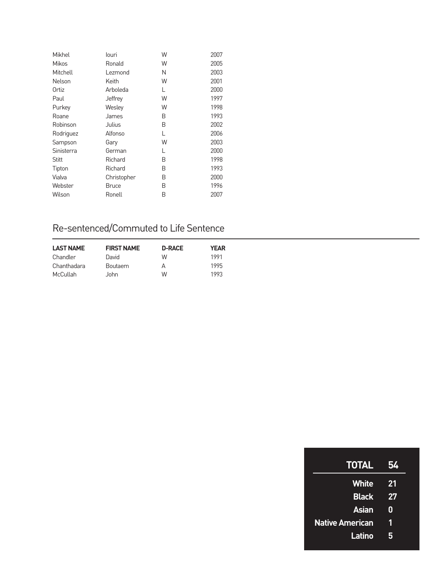| Mikhel       | louri        | W | 2007 |
|--------------|--------------|---|------|
| <b>Mikos</b> | Ronald       | W | 2005 |
| Mitchell     | Lezmond      | N | 2003 |
| Nelson       | Keith        | W | 2001 |
| Ortiz        | Arboleda     | L | 2000 |
| Paul         | Jeffrey      | W | 1997 |
| Purkey       | Wesley       | W | 1998 |
| Roane        | James        | B | 1993 |
| Robinson     | Julius       | B | 2002 |
| Rodriguez    | Alfonso      | L | 2006 |
| Sampson      | Gary         | W | 2003 |
| Sinisterra   | German       | L | 2000 |
| Stitt        | Richard      | B | 1998 |
| Tipton       | Richard      | B | 1993 |
| Vialva       | Christopher  | B | 2000 |
| Webster      | <b>Bruce</b> | B | 1996 |
| Wilson       | Ronell       | B | 2007 |

# Re-sentenced/Commuted to Life Sentence

| <b>LAST NAME</b> | <b>FIRST NAME</b> | <b>D-RACE</b> | <b>YEAR</b> |
|------------------|-------------------|---------------|-------------|
| Chandler         | David             | W             | 1991        |
| Chanthadara      | <b>Boutaem</b>    | А             | 1995        |
| <b>McCullah</b>  | John.             | W             | 1993        |

| <b>TOTAL</b>           | 54 |
|------------------------|----|
| <b>White</b>           | 21 |
| <b>Black</b>           | 27 |
| Asian                  | Ω  |
| <b>Native American</b> | 1  |
| Latino                 | 5  |
|                        |    |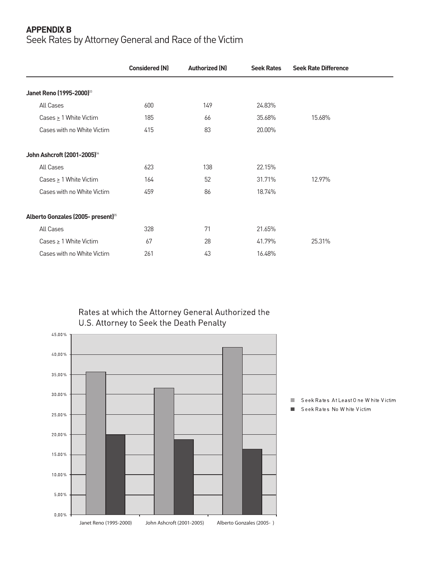### **APPENDIX B**

# Seek Rates by Attorney General and Race of the Victim

|                                                | <b>Considered (N)</b> | <b>Authorized (N)</b> | <b>Seek Rates</b> | <b>Seek Rate Difference</b> |  |
|------------------------------------------------|-----------------------|-----------------------|-------------------|-----------------------------|--|
| Janet Reno (1995-2000) <sup>33</sup>           |                       |                       |                   |                             |  |
| All Cases                                      | 600                   | 149                   | 24.83%            |                             |  |
| Cases $\geq$ 1 White Victim                    | 185                   | 66                    | 35.68%            | 15.68%                      |  |
| Cases with no White Victim                     | 415                   | 83                    | 20.00%            |                             |  |
| John Ashcroft (2001-2005) <sup>34</sup>        |                       |                       |                   |                             |  |
| All Cases                                      | 623                   | 138                   | 22.15%            |                             |  |
| Cases $\geq$ 1 White Victim                    | 164                   | 52                    | 31.71%            | 12.97%                      |  |
| Cases with no White Victim                     | 459                   | 86                    | 18.74%            |                             |  |
| Alberto Gonzales (2005- present) <sup>35</sup> |                       |                       |                   |                             |  |
| All Cases                                      | 328                   | 71                    | 21.65%            |                             |  |
| Cases $\geq 1$ White Victim                    | 67                    | 28                    | 41.79%            | 25.31%                      |  |
| Cases with no White Victim                     | 261                   | 43                    | 16.48%            |                             |  |



- Seek Rates At Least 0 ne W hite Victim  $\overline{\phantom{a}}$
- $\blacksquare$ Seek Rates No W hite Victim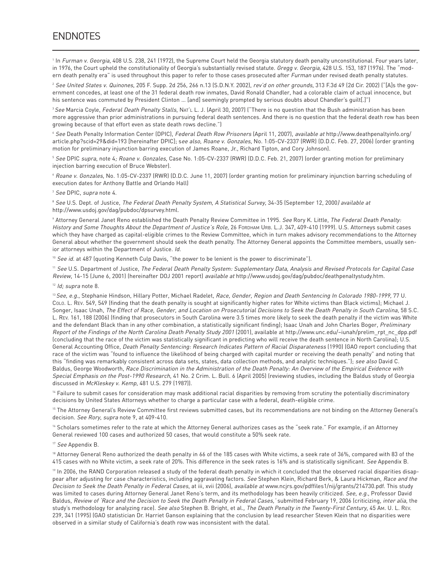# ENDNOTES

<sup>1</sup> In Furman v. Georgia, 408 U.S. 238, 241 (1972), the Supreme Court held the Georgia statutory death penalty unconstitutional. Four years later, in 1976, the Court upheld the constitutionality of Georgia's substantially revised statute. Gregg v. Georgia, 428 U.S. 153, 187 (1976). The "modern death penalty era" is used throughout this paper to refer to those cases prosecuted after Furman under revised death penalty statutes.

<sup>2</sup> See United States v. Quinones, 205 F. Supp. 2d 256, 266 n.13 (S.D.N.Y. 2002), rev'd on other grounds, 313 F.3d 49 (2d Cir. 2002) ("[A]s the government concedes, at least one of the 31 federal death row inmates, David Ronald Chandler, had a colorable claim of actual innocence, but his sentence was commuted by President Clinton ... [and] seemingly prompted by serious doubts about Chandler's quilt[.]")

<sup>3</sup> See Marcia Coyle, Federal Death Penalty Stalls, NAT'L L. J. (April 30, 2007) ("There is no question that the Bush administration has been more aggressive than prior administrations in pursuing federal death sentences. And there is no question that the federal death row has been growing because of that effort even as state death rows decline.")

<sup>4</sup> See Death Penalty Information Center (DPIC), Federal Death Row Prisoners (April 11, 2007), available at http://www.deathpenaltyinfo.org/ article.php?scid=29&did=193 [hereinafter DPIC]; see also, Roane v. Gonzales, No. 1:05-CV-2337 (RWR) (D.D.C. Feb. 27, 2006) (order granting motion for preliminary injunction barring execution of James Roane, Jr., Richard Tipton, and Cory Johnson).

<sup>5</sup> See DPIC supra, note 4; Roane v. Gonzales, Case No. 1:05-CV-2337 (RWR) (D.D.C. Feb. 21, 2007) (order granting motion for preliminary injection barring execution of Bruce Webster).

<sup>6</sup> Roane v. Gonzales, No. 1:05-CV-2337 (RWR) (D.D.C. June 11, 2007) (order granting motion for preliminary injunction barring scheduling of execution dates for Anthony Battle and Orlando Hall)

<sup>7</sup> See DPIC, supra note 4.

<sup>8</sup> See U.S. Dept. of Justice, The Federal Death Penalty System, A Statistical Survey, 34-35 (September 12, 2000) available at http://www.usdoj.gov/dag/pubdoc/dpsurvey.html.

<sup>9</sup> Attorney General Janet Reno established the Death Penalty Review Committee in 1995. See Rory K. Little, The Federal Death Penalty: History and Some Thoughts About the Department of Justice's Role, 26 FORDHAM URB. L.J. 347, 409-410 (1999). U.S. Attorneys submit cases which they have charged as capital-eligible crimes to the Review Committee, which in turn makes advisory recommendations to the Attorney General about whether the government should seek the death penalty. The Attorney General appoints the Committee members, usually senior attorneys within the Department of Justice. Id.

<sup>10</sup> See id. at 487 (quoting Kenneth Culp Davis, "the power to be lenient is the power to discriminate").

<sup>11</sup> See U.S. Department of Justice, The Federal Death Penalty System: Supplementary Data, Analysis and Revised Protocols for Capital Case Review, 14-15 (June 6, 2001) (hereinafter DOJ 2001 report) available at http://www.usdoj.gov/dag/pubdoc/deathpenaltystudy.htm.

 $12$  *ld: supra* note 8.

<sup>13</sup> See, e.g., Stephanie Hindson, Hillary Potter, Michael Radelet, Race, Gender, Region and Death Sentencing In Colorado 1980-1999, 77 U. COLO. L. REV. 549, 549 (finding that the death penalty is sought at significantly higher rates for White victims than Black victims); Michael J. Songer, Isaac Unah, The Effect of Race, Gender, and Location on Prosecutorial Decisions to Seek the Death Penalty in South Carolina, 58 S.C. L. REV. 161, 188 (2006) (finding that prosecutors in South Carolina were 3.5 times more likely to seek the death penalty if the victim was White and the defendant Black than in any other combination, a statistically significant finding); Isaac Unah and John Charles Boger, Preliminary Report of the Findings of the North Carolina Death Penalty Study 2001 (2001), available at http://www.unc.edu/~iunah/prelim\_rpt\_nc\_dpp.pdf (concluding that the race of the victim was statistically significant in predicting who will receive the death sentence in North Carolina); U.S. General Accounting Office, Death Penalty Sentencing: Research Indicates Pattern of Racial Disparateness (1990) (GAO report concluding that race of the victim was "found to influence the likelihood of being charged with capital murder or receiving the death penalty" and noting that this "finding was remarkably consistent across data sets, states, data collection methods, and analytic techniques."); see also David C. Baldus, George Woodworth, Race Discrimination in the Administration of the Death Penalty: An Overview of the Empirical Evidence with Special Emphasis on the Post-1990 Research, 41 No. 2 Crim. L. Bull. 6 (April 2005) (reviewing studies, including the Baldus study of Georgia discussed in McKleskey v. Kemp, 481 U.S. 279 (1987)).

<sup>14</sup> Failure to submit cases for consideration may mask additional racial disparities by removing from scrutiny the potentially discriminatory decisions by United States Attorneys whether to charge a particular case with a federal, death-eligible crime.

<sup>15</sup> The Attorney General's Review Committee first reviews submitted cases, but its recommendations are not binding on the Attorney General's decision. See Rory, supra note 9, at 409-410.

<sup>16</sup> Scholars sometimes refer to the rate at which the Attorney General authorizes cases as the "seek rate." For example, if an Attorney General reviewed 100 cases and authorized 50 cases, that would constitute a 50% seek rate.

<sup>17</sup> See Appendix B.

<sup>18</sup> Attorney General Reno authorized the death penalty in 66 of the 185 cases with White victims, a seek rate of 36%, compared with 83 of the 415 cases with no White victim, a seek rate of 20%. This difference in the seek rates is 16% and is statistically significant. See Appendix B.

<sup>19</sup> In 2006, the RAND Corporation released a study of the federal death penalty in which it concluded that the observed racial disparities disappear after adjusting for case characteristics, including aggravating factors. See Stephen Klein, Richard Berk, & Laura Hickman, Race and the Decision to Seek the Death Penalty in Federal Cases, at iii, xvii (2006), available at www.ncjrs.gov/pdffiles1/nij/grants/214730.pdf. This study was limited to cases during Attorney General Janet Reno's term, and its methodology has been heavily criticized. See, e.g., Professor David Baldus, Review of 'Race and the Decision to Seek the Death Penalty in Federal Cases,' submitted February 19, 2006 (criticizing, inter alia, the study's methodology for analyzing race). See also Stephen B. Bright, et al., The Death Penalty in the Twenty-First Century, 45 AM. U. L. REV. 239, 341 (1995) (GAO statistician Dr. Harriet Ganson explaining that the conclusion by lead researcher Steven Klein that no disparities were observed in a similar study of California's death row was inconsistent with the data).